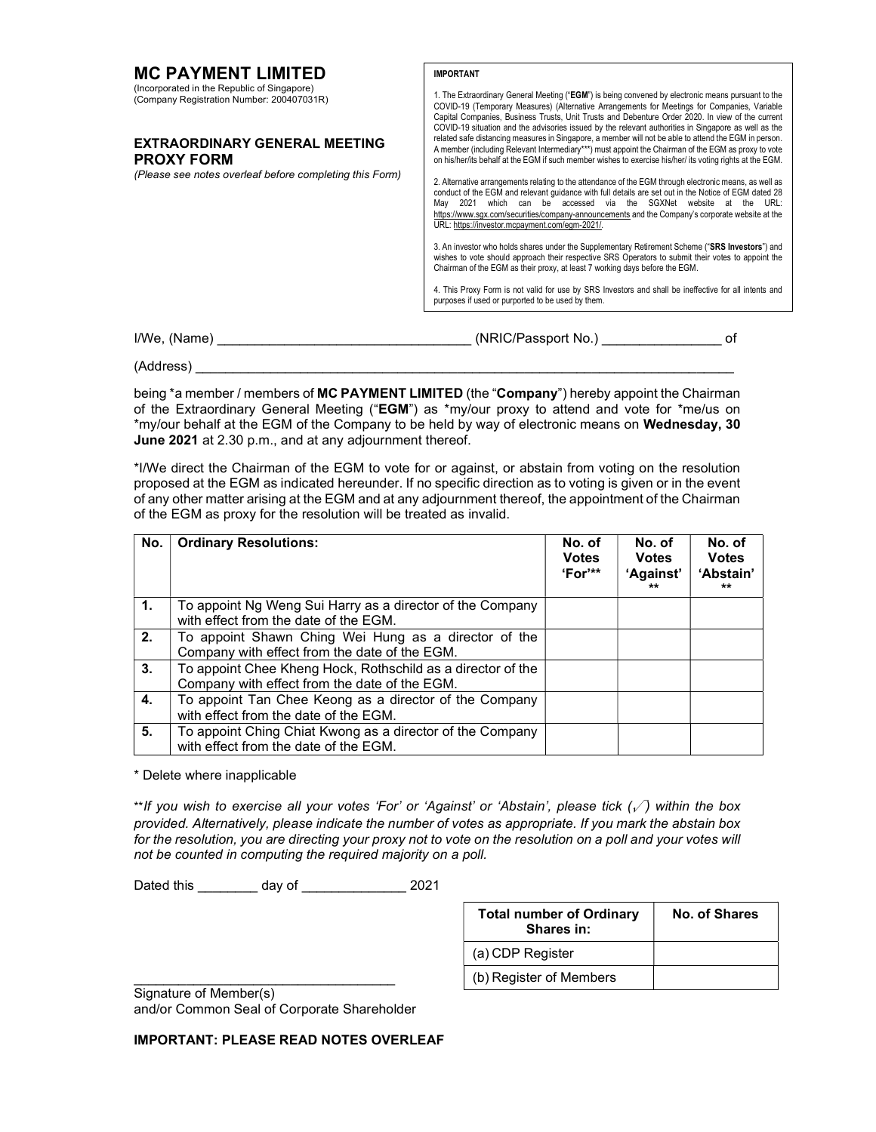| <b>MC PAYMENT LIMITED</b>                                                                | <b>IMPORTANT</b>                                                                                                                                                                                                                                                                                                                                                                                                                            |    |  |
|------------------------------------------------------------------------------------------|---------------------------------------------------------------------------------------------------------------------------------------------------------------------------------------------------------------------------------------------------------------------------------------------------------------------------------------------------------------------------------------------------------------------------------------------|----|--|
| (Incorporated in the Republic of Singapore)<br>(Company Registration Number: 200407031R) | 1. The Extraordinary General Meeting ("EGM") is being convened by electronic means pursuant to the<br>COVID-19 (Temporary Measures) (Alternative Arrangements for Meetings for Companies, Variable<br>Capital Companies, Business Trusts, Unit Trusts and Debenture Order 2020. In view of the current<br>COVID-19 situation and the advisories issued by the relevant authorities in Singapore as well as the                              |    |  |
| <b>EXTRAORDINARY GENERAL MEETING</b><br><b>PROXY FORM</b>                                | related safe distancing measures in Singapore, a member will not be able to attend the EGM in person.<br>A member (including Relevant Intermediary***) must appoint the Chairman of the EGM as proxy to vote<br>on his/her/its behalf at the EGM if such member wishes to exercise his/her/ its voting rights at the EGM.                                                                                                                   |    |  |
| (Please see notes overleaf before completing this Form)                                  | 2. Alternative arrangements relating to the attendance of the EGM through electronic means, as well as<br>conduct of the EGM and relevant quidance with full details are set out in the Notice of EGM dated 28<br>2021 which can be accessed via the SGXNet website at the URL:<br>Mav<br>https://www.sgx.com/securities/company-announcements and the Company's corporate website at the<br>URL: https://investor.mcpayment.com/eqm-2021/. |    |  |
|                                                                                          | 3. An investor who holds shares under the Supplementary Retirement Scheme ("SRS Investors") and<br>wishes to vote should approach their respective SRS Operators to submit their votes to appoint the<br>Chairman of the EGM as their proxy, at least 7 working days before the EGM.                                                                                                                                                        |    |  |
|                                                                                          | 4. This Proxy Form is not valid for use by SRS Investors and shall be ineffective for all intents and<br>purposes if used or purported to be used by them.                                                                                                                                                                                                                                                                                  |    |  |
|                                                                                          |                                                                                                                                                                                                                                                                                                                                                                                                                                             |    |  |
| I/We, (Name)                                                                             | (NRIC/Passport No.) __                                                                                                                                                                                                                                                                                                                                                                                                                      | оf |  |

(Address) \_\_\_\_\_\_\_\_\_\_\_\_\_\_\_\_\_\_\_\_\_\_\_\_\_\_\_\_\_\_\_\_\_\_\_\_\_\_\_\_\_\_\_\_\_\_\_\_\_\_\_\_\_\_\_\_\_\_\_\_\_\_\_\_\_\_\_\_\_\_\_\_

being \*a member / members of MC PAYMENT LIMITED (the "Company") hereby appoint the Chairman of the Extraordinary General Meeting ("EGM") as \*my/our proxy to attend and vote for \*me/us on \*my/our behalf at the EGM of the Company to be held by way of electronic means on Wednesday, 30 June 2021 at 2.30 p.m., and at any adjournment thereof.

\*I/We direct the Chairman of the EGM to vote for or against, or abstain from voting on the resolution proposed at the EGM as indicated hereunder. If no specific direction as to voting is given or in the event of any other matter arising at the EGM and at any adjournment thereof, the appointment of the Chairman of the EGM as proxy for the resolution will be treated as invalid.

| No. | <b>Ordinary Resolutions:</b>                                                                                 | No. of<br><b>Votes</b><br>"For" | No. of<br><b>Votes</b><br>'Against'<br>$***$ | No. of<br><b>Votes</b><br>'Abstain'<br>** |
|-----|--------------------------------------------------------------------------------------------------------------|---------------------------------|----------------------------------------------|-------------------------------------------|
| 1.  | To appoint Ng Weng Sui Harry as a director of the Company<br>with effect from the date of the EGM.           |                                 |                                              |                                           |
| 2.  | To appoint Shawn Ching Wei Hung as a director of the<br>Company with effect from the date of the EGM.        |                                 |                                              |                                           |
| 3.  | To appoint Chee Kheng Hock, Rothschild as a director of the<br>Company with effect from the date of the EGM. |                                 |                                              |                                           |
| 4.  | To appoint Tan Chee Keong as a director of the Company<br>with effect from the date of the EGM.              |                                 |                                              |                                           |
| 5.  | To appoint Ching Chiat Kwong as a director of the Company<br>with effect from the date of the EGM.           |                                 |                                              |                                           |

\* Delete where inapplicable

\*\*If you wish to exercise all your votes 'For' or 'Against' or 'Abstain', please tick  $(\sqrt{\ } )$  within the box provided. Alternatively, please indicate the number of votes as appropriate. If you mark the abstain box for the resolution, you are directing your proxy not to vote on the resolution on a poll and your votes will not be counted in computing the required majority on a poll.

Dated this \_\_\_\_\_\_\_\_ day of \_\_\_\_\_\_\_\_\_\_\_\_\_\_ 2021

| <b>Total number of Ordinary</b><br>Shares in: | No. of Shares |
|-----------------------------------------------|---------------|
| (a) CDP Register                              |               |
| (b) Register of Members                       |               |

Signature of Member(s) and/or Common Seal of Corporate Shareholder

\_\_\_\_\_\_\_\_\_\_\_\_\_\_\_\_\_\_\_\_\_\_\_\_\_\_\_\_\_\_\_\_\_\_\_

IMPORTANT: PLEASE READ NOTES OVERLEAF